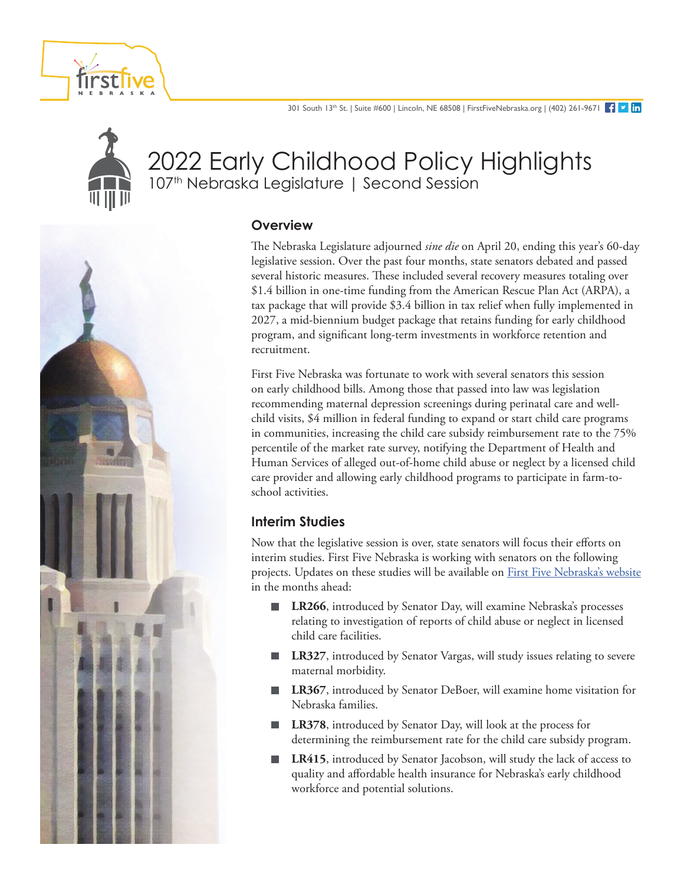301 South 13<sup>th</sup> St. | Suite #600 | Lincoln, NE 68508 | FirstFiveNebraska.org | (402) 261-9671  $\left\{ \cdot \right\}$  in



# 2022 Early Childhood Policy Highlights 107<sup>th</sup> Nebraska Legislature | Second Session

# **Overview**

The Nebraska Legislature adjourned *sine die* on April 20, ending this year's 60-day legislative session. Over the past four months, state senators debated and passed several historic measures. These included several recovery measures totaling over \$1.4 billion in one-time funding from the American Rescue Plan Act (ARPA), a tax package that will provide \$3.4 billion in tax relief when fully implemented in 2027, a mid-biennium budget package that retains funding for early childhood program, and significant long-term investments in workforce retention and recruitment.

First Five Nebraska was fortunate to work with several senators this session on early childhood bills. Among those that passed into law was legislation recommending maternal depression screenings during perinatal care and wellchild visits, \$4 million in federal funding to expand or start child care programs in communities, increasing the child care subsidy reimbursement rate to the 75% percentile of the market rate survey, notifying the Department of Health and Human Services of alleged out-of-home child abuse or neglect by a licensed child care provider and allowing early childhood programs to participate in farm-toschool activities.

# **Interim Studies**

Now that the legislative session is over, state senators will focus their efforts on interim studies. First Five Nebraska is working with senators on the following projects. Updates on these studies will be available on [First Five Nebraska's website](https://www.firstfivenebraska.org/) in the months ahead:

- **LR266**, introduced by Senator Day, will examine Nebraska's processes relating to investigation of reports of child abuse or neglect in licensed child care facilities.
- **LR327**, introduced by Senator Vargas, will study issues relating to severe m. maternal morbidity.
- **LR367**, introduced by Senator DeBoer, will examine home visitation for Nebraska families.
- **LR378**, introduced by Senator Day, will look at the process for determining the reimbursement rate for the child care subsidy program.
- **LR415**, introduced by Senator Jacobson, will study the lack of access to quality and affordable health insurance for Nebraska's early childhood workforce and potential solutions.

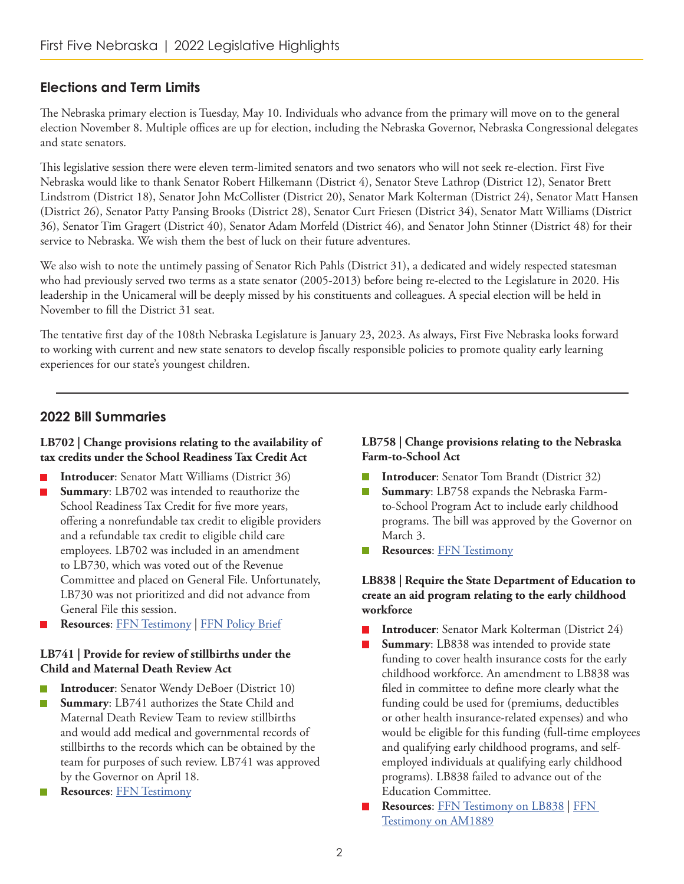# **Elections and Term Limits**

The Nebraska primary election is Tuesday, May 10. Individuals who advance from the primary will move on to the general election November 8. Multiple offices are up for election, including the Nebraska Governor, Nebraska Congressional delegates and state senators.

This legislative session there were eleven term-limited senators and two senators who will not seek re-election. First Five Nebraska would like to thank Senator Robert Hilkemann (District 4), Senator Steve Lathrop (District 12), Senator Brett Lindstrom (District 18), Senator John McCollister (District 20), Senator Mark Kolterman (District 24), Senator Matt Hansen (District 26), Senator Patty Pansing Brooks (District 28), Senator Curt Friesen (District 34), Senator Matt Williams (District 36), Senator Tim Gragert (District 40), Senator Adam Morfeld (District 46), and Senator John Stinner (District 48) for their service to Nebraska. We wish them the best of luck on their future adventures.

We also wish to note the untimely passing of Senator Rich Pahls (District 31), a dedicated and widely respected statesman who had previously served two terms as a state senator (2005-2013) before being re-elected to the Legislature in 2020. His leadership in the Unicameral will be deeply missed by his constituents and colleagues. A special election will be held in November to fill the District 31 seat.

The tentative first day of the 108th Nebraska Legislature is January 23, 2023. As always, First Five Nebraska looks forward to working with current and new state senators to develop fiscally responsible policies to promote quality early learning experiences for our state's youngest children.

# **2022 Bill Summaries**

## **LB702 | Change provisions relating to the availability of tax credits under the School Readiness Tax Credit Act**

- **Introducer**: Senator Matt Williams (District 36)
- **Summary**: LB702 was intended to reauthorize the School Readiness Tax Credit for five more years, offering a nonrefundable tax credit to eligible providers and a refundable tax credit to eligible child care employees. LB702 was included in an amendment to LB730, which was voted out of the Revenue Committee and placed on General File. Unfortunately, LB730 was not prioritized and did not advance from General File this session.
- **Resources**: [FFN Testimony](https://www.firstfivenebraska.org/wp-content/uploads/2022/01/LB702-First-Five-Nebraska-testimony-Elizabeth-Everett.pdf) | [FFN Policy Brief](https://www.firstfivenebraska.org/wp-content/uploads/2022/01/LB702-Policy-Brief-School-Readiness-Tax-Credit_Final.pdf)

# **LB741 | Provide for review of stillbirths under the Child and Maternal Death Review Act**

- **Introducer**: Senator Wendy DeBoer (District 10)
- **Summary**: LB741 authorizes the State Child and **The State** Maternal Death Review Team to review stillbirths and would add medical and governmental records of stillbirths to the records which can be obtained by the team for purposes of such review. LB741 was approved by the Governor on April 18.
- **Resources**: [FFN Testimony](https://www.firstfivenebraska.org/wp-content/uploads/2022/01/LB741-First-Five-Nebraska-testimony-Sara-Howard.pdf)

## **LB758 | Change provisions relating to the Nebraska Farm-to-School Act**

- **Introducer**: Senator Tom Brandt (District 32)
- **Summary**: LB758 expands the Nebraska Farm-**COL** to-School Program Act to include early childhood programs. The bill was approved by the Governor on March 3.
- $\overline{\phantom{a}}$ **Resources**: [FFN Testimony](https://www.firstfivenebraska.org/wp-content/uploads/2022/01/LB758-First-Five-Nebraska-testimony-Sara-Howard.pdf)

# **LB838 | Require the State Department of Education to create an aid program relating to the early childhood workforce**

- **Introducer**: Senator Mark Kolterman (District 24)  $\mathcal{L}_{\mathcal{A}}$
- **Summary**: LB838 was intended to provide state **Tale** funding to cover health insurance costs for the early childhood workforce. An amendment to LB838 was filed in committee to define more clearly what the funding could be used for (premiums, deductibles or other health insurance-related expenses) and who would be eligible for this funding (full-time employees and qualifying early childhood programs, and selfemployed individuals at qualifying early childhood programs). LB838 failed to advance out of the Education Committee.
- **Resources**: [FFN Testimony on LB838](https://www.firstfivenebraska.org/wp-content/uploads/2022/01/LB838-First-Five-Nebraska-testimony-Adam-Feser.pdf) | [FFN](https://www.firstfivenebraska.org/wp-content/uploads/2022/02/First-Five-Nebraska-AM1889-to-LB838-testimony-Adam-Feser.pdf)  [Testimony on AM1889](https://www.firstfivenebraska.org/wp-content/uploads/2022/02/First-Five-Nebraska-AM1889-to-LB838-testimony-Adam-Feser.pdf)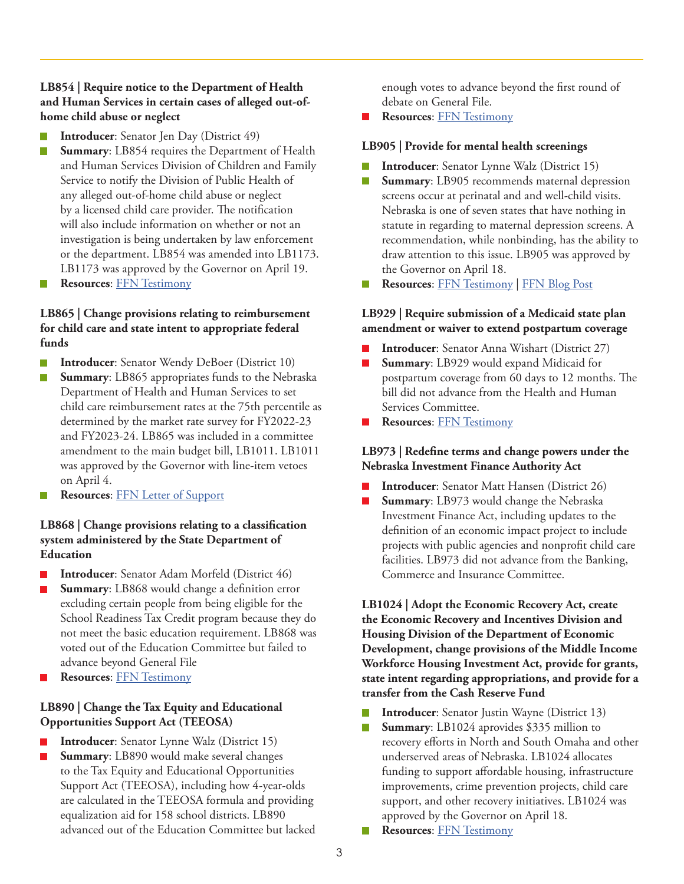#### **LB854 | Require notice to the Department of Health and Human Services in certain cases of alleged out-ofhome child abuse or neglect**

- **Introducer**: Senator Jen Day (District 49)
- **Summary**: LB854 requires the Department of Health and Human Services Division of Children and Family Service to notify the Division of Public Health of any alleged out-of-home child abuse or neglect by a licensed child care provider. The notification will also include information on whether or not an investigation is being undertaken by law enforcement or the department. LB854 was amended into LB1173. LB1173 was approved by the Governor on April 19.
- **Resources**: [FFN Testimony](https://www.firstfivenebraska.org/wp-content/uploads/2022/03/LB854-First-Five-Nebraska-testimony-Dr.-Katie-Bass.pdf)

#### **LB865 | Change provisions relating to reimbursement for child care and state intent to appropriate federal funds**

- П **Introducer**: Senator Wendy DeBoer (District 10)
- **Summary**: LB865 appropriates funds to the Nebraska Department of Health and Human Services to set child care reimbursement rates at the 75th percentile as determined by the market rate survey for FY2022-23 and FY2023-24. LB865 was included in a committee amendment to the main budget bill, LB1011. LB1011 was approved by the Governor with line-item vetoes on April 4.
- **Resources**: [FFN Letter of Support](https://www.firstfivenebraska.org/wp-content/uploads/2022/02/LB865-First-Five-Nebraska-letter-of-support-Katie-Bass.pdf)

#### **LB868 | Change provisions relating to a classification system administered by the State Department of Education**

- **Introducer**: Senator Adam Morfeld (District 46)
- **Summary**: LB868 would change a definition error excluding certain people from being eligible for the School Readiness Tax Credit program because they do not meet the basic education requirement. LB868 was voted out of the Education Committee but failed to advance beyond General File
- **Resources**: [FFN Testimony](https://www.firstfivenebraska.org/wp-content/uploads/2022/03/LB868-First-Five-Nebraska-testimony-Katie-Bass.pdf)

## **LB890 | Change the Tax Equity and Educational Opportunities Support Act (TEEOSA)**

- **Introducer**: Senator Lynne Walz (District 15)
- **Summary**: LB890 would make several changes to the Tax Equity and Educational Opportunities Support Act (TEEOSA), including how 4-year-olds are calculated in the TEEOSA formula and providing equalization aid for 158 school districts. LB890 advanced out of the Education Committee but lacked

enough votes to advance beyond the first round of debate on General File.

**Resources**: [FFN Testimony](https://www.firstfivenebraska.org/wp-content/uploads/2022/01/LB890-First-Five-Nebraska-testimony-Elizabeth-Everett.pdf)

#### **LB905 | Provide for mental health screenings**

- **Introducer**: Senator Lynne Walz (District 15)
- **Summary:** LB905 recommends maternal depression T. screens occur at perinatal and and well-child visits. Nebraska is one of seven states that have nothing in statute in regarding to maternal depression screens. A recommendation, while nonbinding, has the ability to draw attention to this issue. LB905 was approved by the Governor on April 18.
- **Resources**: [FFN Testimony](https://www.firstfivenebraska.org/wp-content/uploads/2022/01/LB905-First-Five-Nebraska-testimony-Sara-Howard.pdf) | [FFN Blog Post](https://www.firstfivenebraska.org/blog/anderson-berry-maternal-depression/) П

### **LB929 | Require submission of a Medicaid state plan amendment or waiver to extend postpartum coverage**

- **Introducer**: Senator Anna Wishart (District 27)
- **Summary**: LB929 would expand Midicaid for postpartum coverage from 60 days to 12 months. The bill did not advance from the Health and Human Services Committee.
- **Resources**: [FFN Testimony](https://www.firstfivenebraska.org/wp-content/uploads/2022/01/LB929-First-Five-Nebraska-Letter-of-Support-Sara-Howard.pdf)

## **LB973 | Redefine terms and change powers under the Nebraska Investment Finance Authority Act**

**Introducer**: Senator Matt Hansen (District 26) **Summary**: LB973 would change the Nebraska Investment Finance Act, including updates to the definition of an economic impact project to include projects with public agencies and nonprofit child care facilities. LB973 did not advance from the Banking, Commerce and Insurance Committee.

**LB1024 | Adopt the Economic Recovery Act, create the Economic Recovery and Incentives Division and Housing Division of the Department of Economic Development, change provisions of the Middle Income Workforce Housing Investment Act, provide for grants, state intent regarding appropriations, and provide for a transfer from the Cash Reserve Fund**

- **Introducer**: Senator Justin Wayne (District 13)
- **Summary**: LB1024 aprovides \$335 million to  $\mathcal{C}^{\mathcal{A}}$ recovery efforts in North and South Omaha and other underserved areas of Nebraska. LB1024 allocates funding to support affordable housing, infrastructure improvements, crime prevention projects, child care support, and other recovery initiatives. LB1024 was approved by the Governor on April 18.
- **Resources**: [FFN Testimony](https://www.firstfivenebraska.org/wp-content/uploads/2022/02/LB1025-First-Five-Nebraska-testimony-Elizabeth-Everett.pdf)